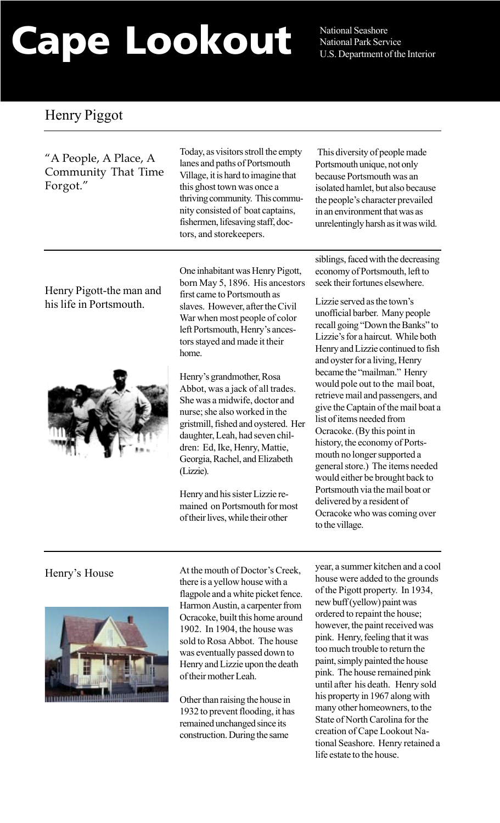## National Seashore<br> **Cape Look**<br> **Cape Look**<br> **Cape Look**<br> **Cape Look**<br>
<u>U.S. Department of</u>

National Park Service U.S. Department of the Interior

## Henry Piggot

"A People, A Place, A Community That Time Forgot."

Today, as visitors stroll the empty lanes and paths of Portsmouth Village, it is hard to imagine that this ghost town was once a thriving community. This community consisted of boat captains, fishermen, lifesaving staff, doctors, and storekeepers.

This diversity of people made Portsmouth unique, not only because Portsmouth was an isolated hamlet, but also because the people's character prevailed in an environment that was as unrelentingly harsh as it was wild.

Henry Pigott-the man and his life in Portsmouth.



One inhabitant was Henry Pigott, born May 5, 1896. His ancestors first came to Portsmouth as slaves. However, after the Civil War when most people of color left Portsmouth, Henry's ancestors stayed and made it their home.

Henry's grandmother, Rosa Abbot, was a jack of all trades. She was a midwife, doctor and nurse; she also worked in the gristmill, fished and oystered. Her daughter, Leah, had seven children: Ed, Ike, Henry, Mattie, Georgia, Rachel, and Elizabeth (Lizzie).

Henry and his sister Lizzie remained on Portsmouth for most of their lives, while their other

siblings, faced with the decreasing economy of Portsmouth, left to seek their fortunes elsewhere.

Lizzie served as the town's unofficial barber. Many people recall going "Down the Banks" to Lizzie's for a haircut. While both Henry and Lizzie continued to fish and oyster for a living, Henry became the "mailman." Henry would pole out to the mail boat, retrieve mail and passengers, and give the Captain of the mail boat a list of items needed from Ocracoke. (By this point in history, the economy of Portsmouth no longer supported a general store.) The items needed would either be brought back to Portsmouth via the mail boat or delivered by a resident of Ocracoke who was coming over to the village.

## Henry's House



At the mouth of Doctor's Creek, there is a yellow house with a flagpole and a white picket fence. Harmon Austin, a carpenter from Ocracoke, built this home around 1902. In 1904, the house was sold to Rosa Abbot. The house was eventually passed down to Henry and Lizzie upon the death of their mother Leah.

Other than raising the house in 1932 to prevent flooding, it has remained unchanged since its construction. During the same

year, a summer kitchen and a cool house were added to the grounds of the Pigott property. In 1934, new buff (yellow) paint was ordered to repaint the house; however, the paint received was pink. Henry, feeling that it was too much trouble to return the paint, simply painted the house pink. The house remained pink until after his death. Henry sold his property in 1967 along with many other homeowners, to the State of North Carolina for the creation of Cape Lookout National Seashore. Henry retained a life estate to the house.